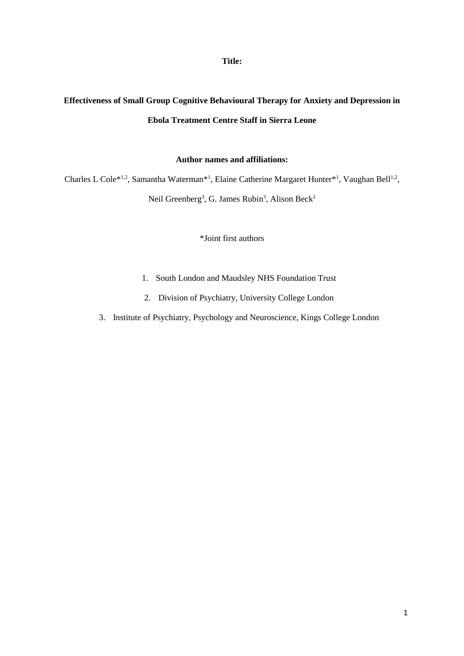# **Title:**

# **Effectiveness of Small Group Cognitive Behavioural Therapy for Anxiety and Depression in Ebola Treatment Centre Staff in Sierra Leone**

# **Author names and affiliations:**

Charles L Cole<sup>\*1,2</sup>, Samantha Waterman<sup>\*1</sup>, Elaine Catherine Margaret Hunter<sup>\*1</sup>, Vaughan Bell<sup>1,2</sup>,

Neil Greenberg<sup>3</sup>, G. James Rubin<sup>3</sup>, Alison Beck<sup>1</sup>

\*Joint first authors

- 1. South London and Maudsley NHS Foundation Trust
- 2. Division of Psychiatry, University College London
- 3. Institute of Psychiatry, Psychology and Neuroscience, Kings College London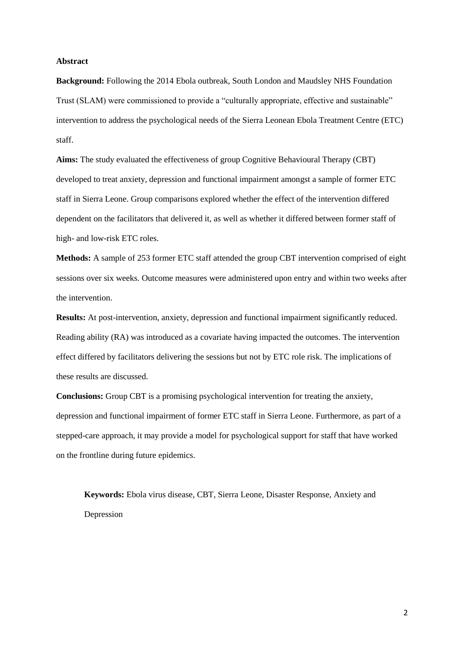#### **Abstract**

**Background:** Following the 2014 Ebola outbreak, South London and Maudsley NHS Foundation Trust (SLAM) were commissioned to provide a "culturally appropriate, effective and sustainable" intervention to address the psychological needs of the Sierra Leonean Ebola Treatment Centre (ETC) staff.

**Aims:** The study evaluated the effectiveness of group Cognitive Behavioural Therapy (CBT) developed to treat anxiety, depression and functional impairment amongst a sample of former ETC staff in Sierra Leone. Group comparisons explored whether the effect of the intervention differed dependent on the facilitators that delivered it, as well as whether it differed between former staff of high- and low-risk ETC roles.

**Methods:** A sample of 253 former ETC staff attended the group CBT intervention comprised of eight sessions over six weeks. Outcome measures were administered upon entry and within two weeks after the intervention.

**Results:** At post-intervention, anxiety, depression and functional impairment significantly reduced. Reading ability (RA) was introduced as a covariate having impacted the outcomes. The intervention effect differed by facilitators delivering the sessions but not by ETC role risk. The implications of these results are discussed.

**Conclusions:** Group CBT is a promising psychological intervention for treating the anxiety, depression and functional impairment of former ETC staff in Sierra Leone. Furthermore, as part of a stepped-care approach, it may provide a model for psychological support for staff that have worked on the frontline during future epidemics.

**Keywords:** Ebola virus disease, CBT, Sierra Leone, Disaster Response, Anxiety and Depression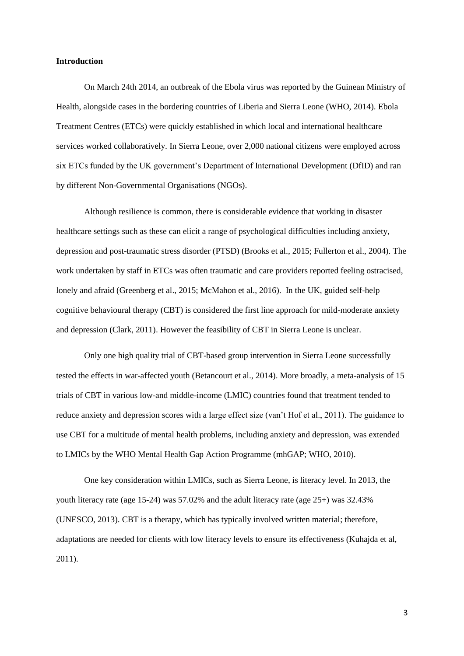#### **Introduction**

On March 24th 2014, an outbreak of the Ebola virus was reported by the Guinean Ministry of Health, alongside cases in the bordering countries of Liberia and Sierra Leone (WHO, 2014). Ebola Treatment Centres (ETCs) were quickly established in which local and international healthcare services worked collaboratively. In Sierra Leone, over 2,000 national citizens were employed across six ETCs funded by the UK government's Department of International Development (DfID) and ran by different Non-Governmental Organisations (NGOs).

Although resilience is common, there is considerable evidence that working in disaster healthcare settings such as these can elicit a range of psychological difficulties including anxiety, depression and post-traumatic stress disorder (PTSD) (Brooks et al., 2015; Fullerton et al., 2004). The work undertaken by staff in ETCs was often traumatic and care providers reported feeling ostracised, lonely and afraid (Greenberg et al., 2015; McMahon et al., 2016). In the UK, guided self-help cognitive behavioural therapy (CBT) is considered the first line approach for mild-moderate anxiety and depression (Clark, 2011). However the feasibility of CBT in Sierra Leone is unclear.

Only one high quality trial of CBT-based group intervention in Sierra Leone successfully tested the effects in war-affected youth (Betancourt et al., 2014). More broadly, a meta-analysis of 15 trials of CBT in various low-and middle-income (LMIC) countries found that treatment tended to reduce anxiety and depression scores with a large effect size (van't Hof et al., 2011). The guidance to use CBT for a multitude of mental health problems, including anxiety and depression, was extended to LMICs by the WHO Mental Health Gap Action Programme (mhGAP; WHO, 2010).

One key consideration within LMICs, such as Sierra Leone, is literacy level. In 2013, the youth literacy rate (age 15-24) was 57.02% and the adult literacy rate (age 25+) was 32.43% (UNESCO, 2013). CBT is a therapy, which has typically involved written material; therefore, adaptations are needed for clients with low literacy levels to ensure its effectiveness (Kuhajda et al, 2011).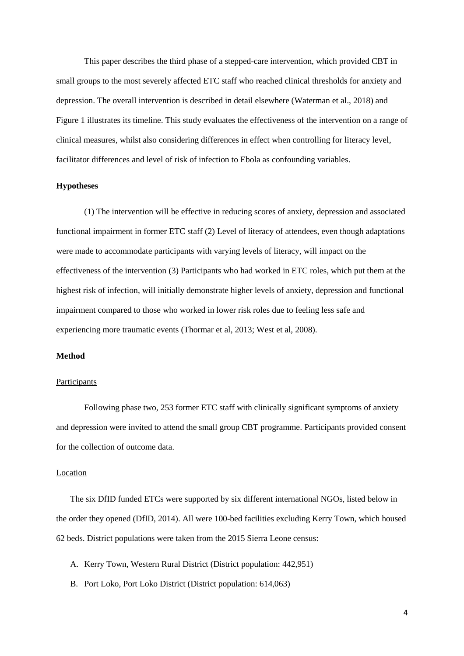This paper describes the third phase of a stepped-care intervention, which provided CBT in small groups to the most severely affected ETC staff who reached clinical thresholds for anxiety and depression. The overall intervention is described in detail elsewhere (Waterman et al., 2018) and Figure 1 illustrates its timeline. This study evaluates the effectiveness of the intervention on a range of clinical measures, whilst also considering differences in effect when controlling for literacy level, facilitator differences and level of risk of infection to Ebola as confounding variables.

## **Hypotheses**

(1) The intervention will be effective in reducing scores of anxiety, depression and associated functional impairment in former ETC staff (2) Level of literacy of attendees, even though adaptations were made to accommodate participants with varying levels of literacy, will impact on the effectiveness of the intervention (3) Participants who had worked in ETC roles, which put them at the highest risk of infection, will initially demonstrate higher levels of anxiety, depression and functional impairment compared to those who worked in lower risk roles due to feeling less safe and experiencing more traumatic events (Thormar et al, 2013; West et al, 2008).

# **Method**

#### **Participants**

Following phase two, 253 former ETC staff with clinically significant symptoms of anxiety and depression were invited to attend the small group CBT programme. Participants provided consent for the collection of outcome data.

# Location

The six DfID funded ETCs were supported by six different international NGOs, listed below in the order they opened (DfID, 2014). All were 100-bed facilities excluding Kerry Town, which housed 62 beds. District populations were taken from the 2015 Sierra Leone census:

- A. Kerry Town, Western Rural District (District population: 442,951)
- B. Port Loko, Port Loko District (District population: 614,063)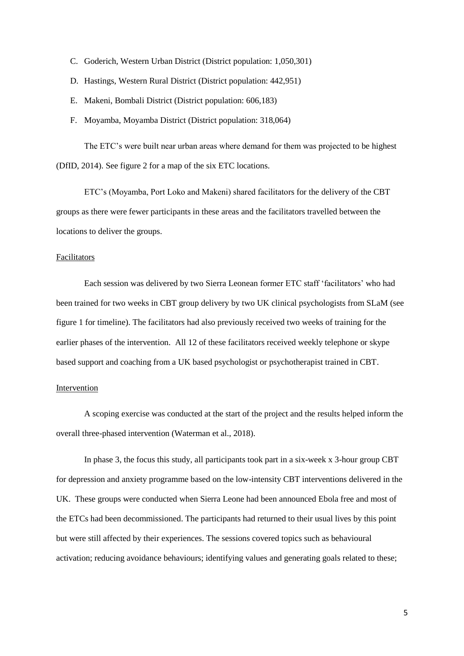- C. Goderich, Western Urban District (District population: 1,050,301)
- D. Hastings, Western Rural District (District population: 442,951)
- E. Makeni, Bombali District (District population: 606,183)
- F. Moyamba, Moyamba District (District population: 318,064)

The ETC's were built near urban areas where demand for them was projected to be highest (DfID, 2014). See figure 2 for a map of the six ETC locations.

ETC's (Moyamba, Port Loko and Makeni) shared facilitators for the delivery of the CBT groups as there were fewer participants in these areas and the facilitators travelled between the locations to deliver the groups.

### Facilitators

Each session was delivered by two Sierra Leonean former ETC staff 'facilitators' who had been trained for two weeks in CBT group delivery by two UK clinical psychologists from SLaM (see figure 1 for timeline). The facilitators had also previously received two weeks of training for the earlier phases of the intervention. All 12 of these facilitators received weekly telephone or skype based support and coaching from a UK based psychologist or psychotherapist trained in CBT.

# Intervention

A scoping exercise was conducted at the start of the project and the results helped inform the overall three-phased intervention (Waterman et al., 2018).

In phase 3, the focus this study, all participants took part in a six-week x 3-hour group CBT for depression and anxiety programme based on the low-intensity CBT interventions delivered in the UK. These groups were conducted when Sierra Leone had been announced Ebola free and most of the ETCs had been decommissioned. The participants had returned to their usual lives by this point but were still affected by their experiences. The sessions covered topics such as behavioural activation; reducing avoidance behaviours; identifying values and generating goals related to these;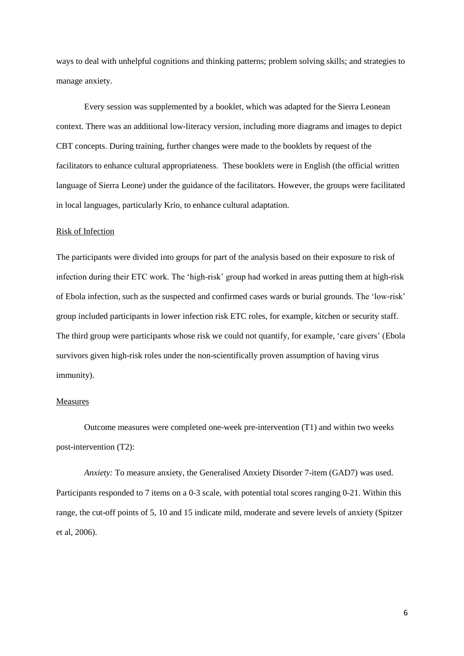ways to deal with unhelpful cognitions and thinking patterns; problem solving skills; and strategies to manage anxiety.

Every session was supplemented by a booklet, which was adapted for the Sierra Leonean context. There was an additional low-literacy version, including more diagrams and images to depict CBT concepts. During training, further changes were made to the booklets by request of the facilitators to enhance cultural appropriateness. These booklets were in English (the official written language of Sierra Leone) under the guidance of the facilitators. However, the groups were facilitated in local languages, particularly Krio, to enhance cultural adaptation.

# Risk of Infection

The participants were divided into groups for part of the analysis based on their exposure to risk of infection during their ETC work. The 'high-risk' group had worked in areas putting them at high-risk of Ebola infection, such as the suspected and confirmed cases wards or burial grounds. The 'low-risk' group included participants in lower infection risk ETC roles, for example, kitchen or security staff. The third group were participants whose risk we could not quantify, for example, 'care givers' (Ebola survivors given high-risk roles under the non-scientifically proven assumption of having virus immunity).

# **Measures**

Outcome measures were completed one-week pre-intervention (T1) and within two weeks post-intervention (T2):

*Anxiety:* To measure anxiety, the Generalised Anxiety Disorder 7-item (GAD7) was used. Participants responded to 7 items on a 0-3 scale, with potential total scores ranging 0-21. Within this range, the cut-off points of 5, 10 and 15 indicate mild, moderate and severe levels of anxiety (Spitzer et al, 2006).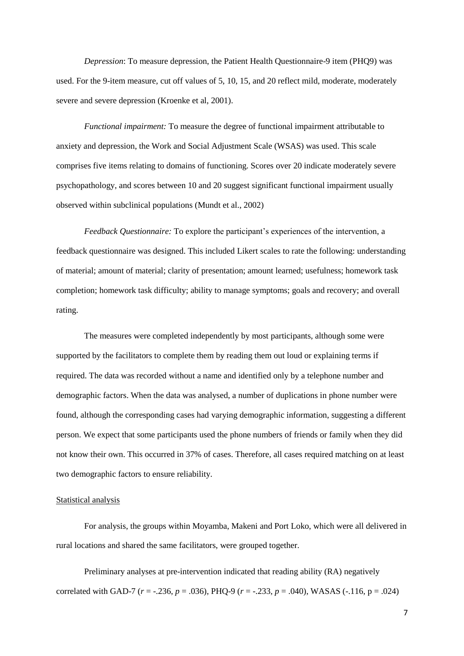*Depression*: To measure depression, the Patient Health Questionnaire-9 item (PHQ9) was used. For the 9-item measure, cut off values of 5, 10, 15, and 20 reflect mild, moderate, moderately severe and severe depression (Kroenke et al, 2001).

*Functional impairment:* To measure the degree of functional impairment attributable to anxiety and depression, the Work and Social Adjustment Scale (WSAS) was used. This scale comprises five items relating to domains of functioning. Scores over 20 indicate moderately severe psychopathology, and scores between 10 and 20 suggest significant functional impairment usually observed within subclinical populations (Mundt et al., 2002)

*Feedback Questionnaire:* To explore the participant's experiences of the intervention, a feedback questionnaire was designed. This included Likert scales to rate the following: understanding of material; amount of material; clarity of presentation; amount learned; usefulness; homework task completion; homework task difficulty; ability to manage symptoms; goals and recovery; and overall rating.

The measures were completed independently by most participants, although some were supported by the facilitators to complete them by reading them out loud or explaining terms if required. The data was recorded without a name and identified only by a telephone number and demographic factors. When the data was analysed, a number of duplications in phone number were found, although the corresponding cases had varying demographic information, suggesting a different person. We expect that some participants used the phone numbers of friends or family when they did not know their own. This occurred in 37% of cases. Therefore, all cases required matching on at least two demographic factors to ensure reliability.

## Statistical analysis

For analysis, the groups within Moyamba, Makeni and Port Loko, which were all delivered in rural locations and shared the same facilitators, were grouped together.

Preliminary analyses at pre-intervention indicated that reading ability (RA) negatively correlated with GAD-7 (*r* = -.236, *p* = .036), PHQ-9 (*r* = -.233, *p* = .040), WASAS (-.116, p = .024)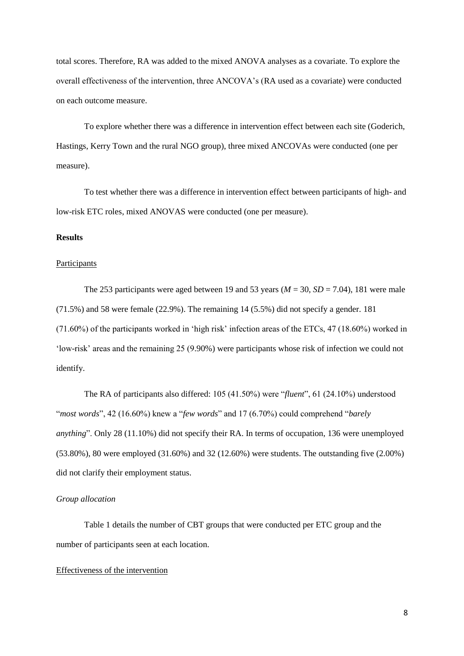total scores. Therefore, RA was added to the mixed ANOVA analyses as a covariate. To explore the overall effectiveness of the intervention, three ANCOVA's (RA used as a covariate) were conducted on each outcome measure.

To explore whether there was a difference in intervention effect between each site (Goderich, Hastings, Kerry Town and the rural NGO group), three mixed ANCOVAs were conducted (one per measure).

To test whether there was a difference in intervention effect between participants of high- and low-risk ETC roles, mixed ANOVAS were conducted (one per measure).

# **Results**

#### **Participants**

The 253 participants were aged between 19 and 53 years ( $M = 30$ ,  $SD = 7.04$ ), 181 were male (71.5%) and 58 were female (22.9%). The remaining 14 (5.5%) did not specify a gender. 181 (71.60%) of the participants worked in 'high risk' infection areas of the ETCs, 47 (18.60%) worked in 'low-risk' areas and the remaining 25 (9.90%) were participants whose risk of infection we could not identify.

The RA of participants also differed: 105 (41.50%) were "*fluent*", 61 (24.10%) understood "*most words*", 42 (16.60%) knew a "*few words*" and 17 (6.70%) could comprehend "*barely anything*". Only 28 (11.10%) did not specify their RA. In terms of occupation, 136 were unemployed (53.80%), 80 were employed (31.60%) and 32 (12.60%) were students. The outstanding five (2.00%) did not clarify their employment status.

# *Group allocation*

Table 1 details the number of CBT groups that were conducted per ETC group and the number of participants seen at each location.

## Effectiveness of the intervention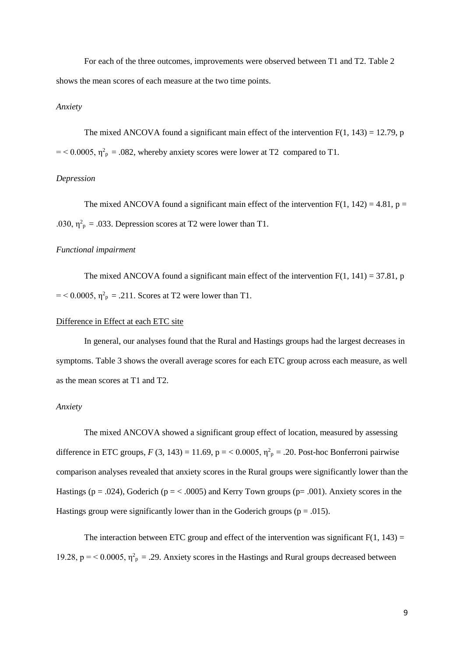For each of the three outcomes, improvements were observed between T1 and T2. Table 2 shows the mean scores of each measure at the two time points.

# *Anxiety*

The mixed ANCOVA found a significant main effect of the intervention  $F(1, 143) = 12.79$ , p  $=$  < 0.0005,  $\eta^2$ <sub>p</sub> = .082, whereby anxiety scores were lower at T2 compared to T1.

# *Depression*

The mixed ANCOVA found a significant main effect of the intervention  $F(1, 142) = 4.81$ ,  $p =$ .030,  $\eta_{\text{p}}^2$  = .033. Depression scores at T2 were lower than T1.

#### *Functional impairment*

The mixed ANCOVA found a significant main effect of the intervention  $F(1, 141) = 37.81$ , p  $=$  < 0.0005,  $\eta_p^2$  = .211. Scores at T2 were lower than T1.

# Difference in Effect at each ETC site

In general, our analyses found that the Rural and Hastings groups had the largest decreases in symptoms. Table 3 shows the overall average scores for each ETC group across each measure, as well as the mean scores at T1 and T2.

# *Anxiety*

The mixed ANCOVA showed a significant group effect of location, measured by assessing difference in ETC groups,  $F(3, 143) = 11.69$ ,  $p =  $0.0005$ ,  $\eta_p^2 = .20$ . Post-hoc Bonferroni pairwise$ comparison analyses revealed that anxiety scores in the Rural groups were significantly lower than the Hastings ( $p = .024$ ), Goderich ( $p = < .0005$ ) and Kerry Town groups ( $p = .001$ ). Anxiety scores in the Hastings group were significantly lower than in the Goderich groups ( $p = .015$ ).

The interaction between ETC group and effect of the intervention was significant  $F(1, 143) =$ 19.28,  $p = 0.0005$ ,  $\eta_p^2 = 0.29$ . Anxiety scores in the Hastings and Rural groups decreased between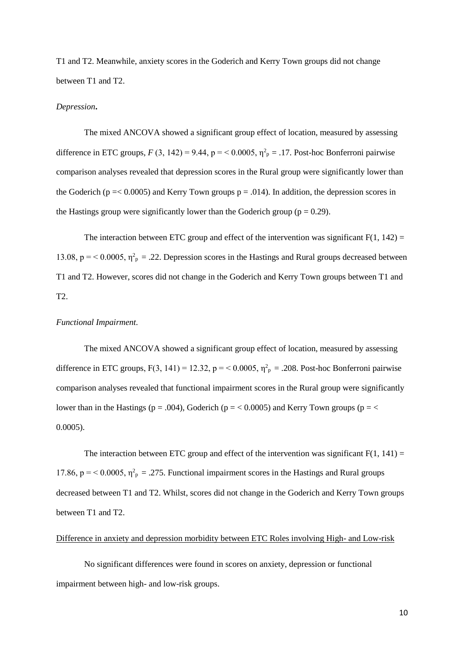T1 and T2. Meanwhile, anxiety scores in the Goderich and Kerry Town groups did not change between T1 and T2.

#### *Depression***.**

The mixed ANCOVA showed a significant group effect of location, measured by assessing difference in ETC groups,  $F(3, 142) = 9.44$ ,  $p = 0.0005$ ,  $\eta_p^2 = 0.17$ . Post-hoc Bonferroni pairwise comparison analyses revealed that depression scores in the Rural group were significantly lower than the Goderich ( $p = 0.0005$ ) and Kerry Town groups  $p = .014$ ). In addition, the depression scores in the Hastings group were significantly lower than the Goderich group ( $p = 0.29$ ).

The interaction between ETC group and effect of the intervention was significant  $F(1, 142) =$ 13.08,  $p = 0.0005$ ,  $\eta_p^2 = 0.22$ . Depression scores in the Hastings and Rural groups decreased between T1 and T2. However, scores did not change in the Goderich and Kerry Town groups between T1 and T2.

## *Functional Impairment.*

The mixed ANCOVA showed a significant group effect of location, measured by assessing difference in ETC groups,  $F(3, 141) = 12.32$ ,  $p = 0.0005$ ,  $\eta_p^2 = 0.208$ . Post-hoc Bonferroni pairwise comparison analyses revealed that functional impairment scores in the Rural group were significantly lower than in the Hastings ( $p = .004$ ), Goderich ( $p = < 0.0005$ ) and Kerry Town groups ( $p = <$ 0.0005).

The interaction between ETC group and effect of the intervention was significant  $F(1, 141) =$ 17.86,  $p = 0.0005$ ,  $\eta_p^2 = 0.275$ . Functional impairment scores in the Hastings and Rural groups decreased between T1 and T2. Whilst, scores did not change in the Goderich and Kerry Town groups between T1 and T2.

# Difference in anxiety and depression morbidity between ETC Roles involving High- and Low-risk

No significant differences were found in scores on anxiety, depression or functional impairment between high- and low-risk groups.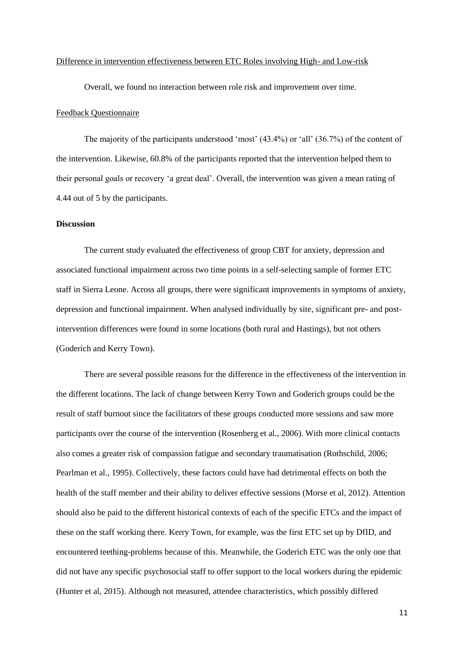#### Difference in intervention effectiveness between ETC Roles involving High- and Low-risk

Overall, we found no interaction between role risk and improvement over time.

## Feedback Questionnaire

The majority of the participants understood 'most' (43.4%) or 'all' (36.7%) of the content of the intervention. Likewise, 60.8% of the participants reported that the intervention helped them to their personal goals or recovery 'a great deal'. Overall, the intervention was given a mean rating of 4.44 out of 5 by the participants.

# **Discussion**

The current study evaluated the effectiveness of group CBT for anxiety, depression and associated functional impairment across two time points in a self-selecting sample of former ETC staff in Sierra Leone. Across all groups, there were significant improvements in symptoms of anxiety, depression and functional impairment. When analysed individually by site, significant pre- and postintervention differences were found in some locations (both rural and Hastings), but not others (Goderich and Kerry Town).

There are several possible reasons for the difference in the effectiveness of the intervention in the different locations. The lack of change between Kerry Town and Goderich groups could be the result of staff burnout since the facilitators of these groups conducted more sessions and saw more participants over the course of the intervention (Rosenberg et al., 2006). With more clinical contacts also comes a greater risk of compassion fatigue and secondary traumatisation (Rothschild, 2006; Pearlman et al., 1995). Collectively, these factors could have had detrimental effects on both the health of the staff member and their ability to deliver effective sessions (Morse et al, 2012). Attention should also be paid to the different historical contexts of each of the specific ETCs and the impact of these on the staff working there. Kerry Town, for example, was the first ETC set up by DfID, and encountered teething-problems because of this. Meanwhile, the Goderich ETC was the only one that did not have any specific psychosocial staff to offer support to the local workers during the epidemic (Hunter et al, 2015). Although not measured, attendee characteristics, which possibly differed

11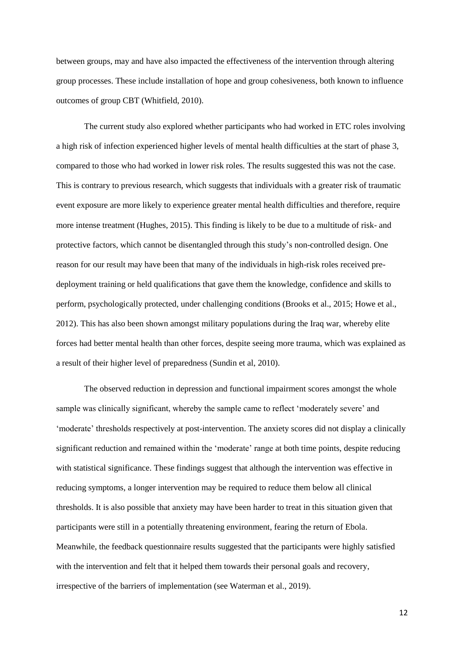between groups, may and have also impacted the effectiveness of the intervention through altering group processes. These include installation of hope and group cohesiveness, both known to influence outcomes of group CBT (Whitfield, 2010).

The current study also explored whether participants who had worked in ETC roles involving a high risk of infection experienced higher levels of mental health difficulties at the start of phase 3, compared to those who had worked in lower risk roles. The results suggested this was not the case. This is contrary to previous research, which suggests that individuals with a greater risk of traumatic event exposure are more likely to experience greater mental health difficulties and therefore, require more intense treatment (Hughes, 2015). This finding is likely to be due to a multitude of risk- and protective factors, which cannot be disentangled through this study's non-controlled design. One reason for our result may have been that many of the individuals in high-risk roles received predeployment training or held qualifications that gave them the knowledge, confidence and skills to perform, psychologically protected, under challenging conditions (Brooks et al., 2015; Howe et al., 2012). This has also been shown amongst military populations during the Iraq war, whereby elite forces had better mental health than other forces, despite seeing more trauma, which was explained as a result of their higher level of preparedness (Sundin et al, 2010).

The observed reduction in depression and functional impairment scores amongst the whole sample was clinically significant, whereby the sample came to reflect 'moderately severe' and 'moderate' thresholds respectively at post-intervention. The anxiety scores did not display a clinically significant reduction and remained within the 'moderate' range at both time points, despite reducing with statistical significance. These findings suggest that although the intervention was effective in reducing symptoms, a longer intervention may be required to reduce them below all clinical thresholds. It is also possible that anxiety may have been harder to treat in this situation given that participants were still in a potentially threatening environment, fearing the return of Ebola. Meanwhile, the feedback questionnaire results suggested that the participants were highly satisfied with the intervention and felt that it helped them towards their personal goals and recovery, irrespective of the barriers of implementation (see Waterman et al., 2019).

12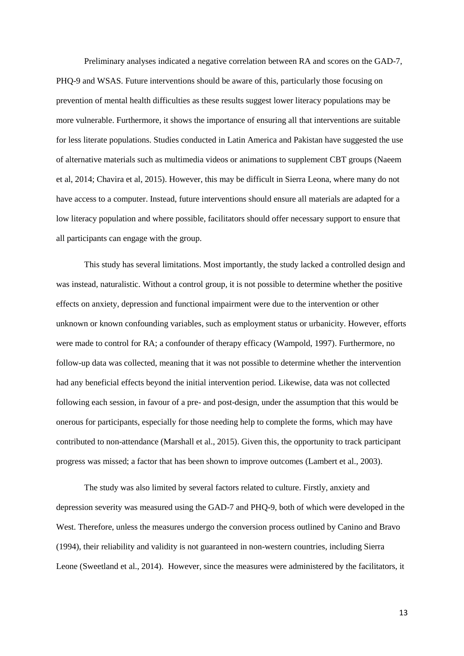Preliminary analyses indicated a negative correlation between RA and scores on the GAD-7, PHQ-9 and WSAS. Future interventions should be aware of this, particularly those focusing on prevention of mental health difficulties as these results suggest lower literacy populations may be more vulnerable. Furthermore, it shows the importance of ensuring all that interventions are suitable for less literate populations. Studies conducted in Latin America and Pakistan have suggested the use of alternative materials such as multimedia videos or animations to supplement CBT groups (Naeem et al, 2014; Chavira et al, 2015). However, this may be difficult in Sierra Leona, where many do not have access to a computer. Instead, future interventions should ensure all materials are adapted for a low literacy population and where possible, facilitators should offer necessary support to ensure that all participants can engage with the group.

This study has several limitations. Most importantly, the study lacked a controlled design and was instead, naturalistic. Without a control group, it is not possible to determine whether the positive effects on anxiety, depression and functional impairment were due to the intervention or other unknown or known confounding variables, such as employment status or urbanicity. However, efforts were made to control for RA; a confounder of therapy efficacy (Wampold, 1997). Furthermore, no follow-up data was collected, meaning that it was not possible to determine whether the intervention had any beneficial effects beyond the initial intervention period. Likewise, data was not collected following each session, in favour of a pre- and post-design, under the assumption that this would be onerous for participants, especially for those needing help to complete the forms, which may have contributed to non-attendance (Marshall et al., 2015). Given this, the opportunity to track participant progress was missed; a factor that has been shown to improve outcomes (Lambert et al., 2003).

The study was also limited by several factors related to culture. Firstly, anxiety and depression severity was measured using the GAD-7 and PHQ-9, both of which were developed in the West. Therefore, unless the measures undergo the conversion process outlined by Canino and Bravo (1994), their reliability and validity is not guaranteed in non-western countries, including Sierra Leone (Sweetland et al., 2014). However, since the measures were administered by the facilitators, it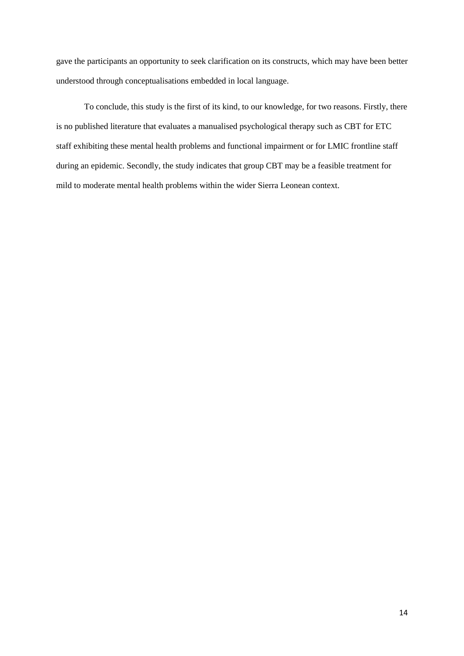gave the participants an opportunity to seek clarification on its constructs, which may have been better understood through conceptualisations embedded in local language.

To conclude, this study is the first of its kind, to our knowledge, for two reasons. Firstly, there is no published literature that evaluates a manualised psychological therapy such as CBT for ETC staff exhibiting these mental health problems and functional impairment or for LMIC frontline staff during an epidemic. Secondly, the study indicates that group CBT may be a feasible treatment for mild to moderate mental health problems within the wider Sierra Leonean context.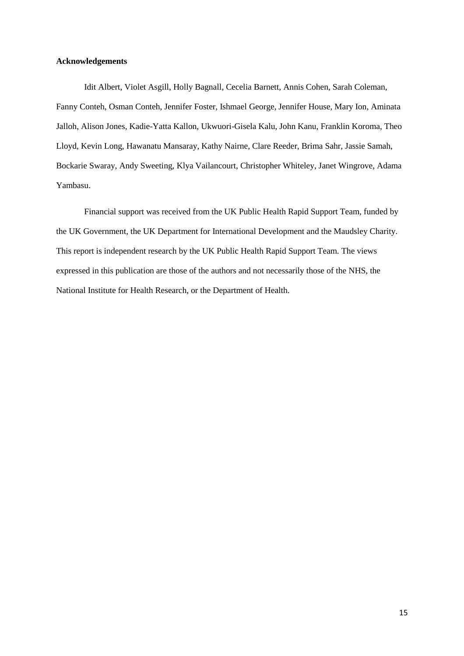# **Acknowledgements**

Idit Albert, Violet Asgill, Holly Bagnall, Cecelia Barnett, Annis Cohen, Sarah Coleman, Fanny Conteh, Osman Conteh, Jennifer Foster, Ishmael George, Jennifer House, Mary Ion, Aminata Jalloh, Alison Jones, Kadie-Yatta Kallon, Ukwuori-Gisela Kalu, John Kanu, Franklin Koroma, Theo Lloyd, Kevin Long, Hawanatu Mansaray, Kathy Nairne, Clare Reeder, Brima Sahr, Jassie Samah, Bockarie Swaray, Andy Sweeting, Klya Vailancourt, Christopher Whiteley, Janet Wingrove, Adama Yambasu.

Financial support was received from the UK Public Health Rapid Support Team, funded by the UK Government, the UK Department for International Development and the Maudsley Charity. This report is independent research by the UK Public Health Rapid Support Team. The views expressed in this publication are those of the authors and not necessarily those of the NHS, the National Institute for Health Research, or the Department of Health.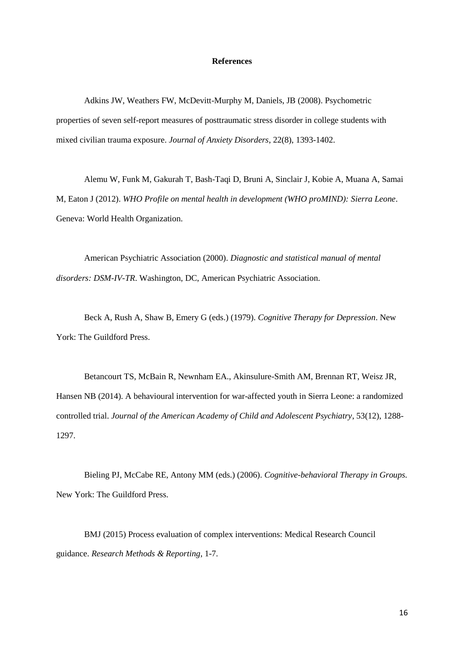#### **References**

Adkins JW, Weathers FW, McDevitt-Murphy M, Daniels, JB (2008). Psychometric properties of seven self-report measures of posttraumatic stress disorder in college students with mixed civilian trauma exposure. *Journal of Anxiety Disorders*, 22(8), 1393-1402.

Alemu W, Funk M, Gakurah T, Bash-Taqi D, Bruni A, Sinclair J, Kobie A, Muana A, Samai M, Eaton J (2012). *WHO Profile on mental health in development (WHO proMIND): Sierra Leone*. Geneva: World Health Organization.

American Psychiatric Association (2000). *Diagnostic and statistical manual of mental disorders: DSM-IV-TR*. Washington, DC, American Psychiatric Association.

Beck A, Rush A, Shaw B, Emery G (eds.) (1979). *Cognitive Therapy for Depression*. New York: The Guildford Press.

Betancourt TS, McBain R, Newnham EA., Akinsulure-Smith AM, Brennan RT, Weisz JR, Hansen NB (2014). A behavioural intervention for war-affected youth in Sierra Leone: a randomized controlled trial. *Journal of the American Academy of Child and Adolescent Psychiatry*, 53(12), 1288- 1297.

Bieling PJ, McCabe RE, Antony MM (eds.) (2006). *Cognitive-behavioral Therapy in Groups.*  New York: The Guildford Press.

BMJ (2015) Process evaluation of complex interventions: Medical Research Council guidance. *Research Methods & Reporting*, 1-7.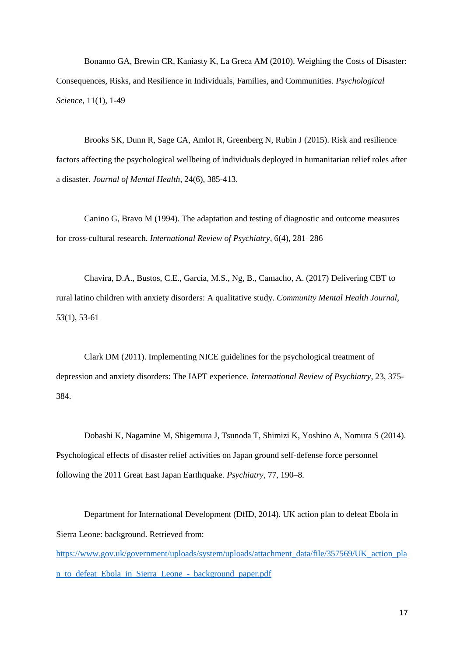Bonanno GA, Brewin CR, Kaniasty K, La Greca AM (2010). Weighing the Costs of Disaster: Consequences, Risks, and Resilience in Individuals, Families, and Communities. *Psychological Science*, 11(1), 1-49

Brooks SK, Dunn R, Sage CA, Amlot R, Greenberg N, Rubin J (2015). Risk and resilience factors affecting the psychological wellbeing of individuals deployed in humanitarian relief roles after a disaster. *Journal of Mental Health*, 24(6), 385-413.

Canino G, Bravo M (1994). The adaptation and testing of diagnostic and outcome measures for cross-cultural research. *International Review of Psychiatry*, 6(4), 281–286

Chavira, D.A., Bustos, C.E., Garcia, M.S., Ng, B., Camacho, A. (2017) Delivering CBT to rural latino children with anxiety disorders: A qualitative study. *Community Mental Health Journal, 53*(1), 53-61

Clark DM (2011). Implementing NICE guidelines for the psychological treatment of depression and anxiety disorders: The IAPT experience. *International Review of Psychiatry*, 23, 375- 384.

Dobashi K, Nagamine M, Shigemura J, Tsunoda T, Shimizi K, Yoshino A, Nomura S (2014). Psychological effects of disaster relief activities on Japan ground self-defense force personnel following the 2011 Great East Japan Earthquake. *Psychiatry*, 77, 190–8.

Department for International Development (DfID, 2014). UK action plan to defeat Ebola in Sierra Leone: background. Retrieved from:

[https://www.gov.uk/government/uploads/system/uploads/attachment\\_data/file/357569/UK\\_action\\_pla](https://www.gov.uk/government/uploads/system/uploads/attachment_data/file/357569/UK_action_plan_to_defeat_Ebola_in_Sierra_Leone_-_background_paper.pdf) [n\\_to\\_defeat\\_Ebola\\_in\\_Sierra\\_Leone\\_-\\_background\\_paper.pdf](https://www.gov.uk/government/uploads/system/uploads/attachment_data/file/357569/UK_action_plan_to_defeat_Ebola_in_Sierra_Leone_-_background_paper.pdf)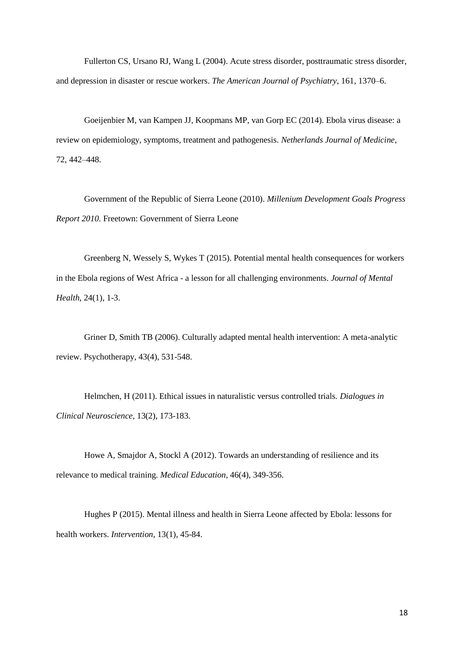Fullerton CS, Ursano RJ, Wang L (2004). Acute stress disorder, posttraumatic stress disorder, and depression in disaster or rescue workers. *The American Journal of Psychiatry*, 161, 1370–6.

Goeijenbier M, van Kampen JJ, Koopmans MP, van Gorp EC (2014). Ebola virus disease: a review on epidemiology, symptoms, treatment and pathogenesis. *Netherlands Journal of Medicine*, 72, 442–448.

Government of the Republic of Sierra Leone (2010). *Millenium Development Goals Progress Report 2010*. Freetown: Government of Sierra Leone

Greenberg N, Wessely S, Wykes T (2015). Potential mental health consequences for workers in the Ebola regions of West Africa - a lesson for all challenging environments. *Journal of Mental Health*, 24(1), 1-3.

Griner D, Smith TB (2006). Culturally adapted mental health intervention: A meta-analytic review. Psychotherapy, 43(4), 531-548.

Helmchen, H (2011). Ethical issues in naturalistic versus controlled trials. *Dialogues in Clinical Neuroscience,* 13(2), 173-183.

Howe A, Smajdor A, Stockl A (2012). Towards an understanding of resilience and its relevance to medical training. *Medical Education*, 46(4), 349-356.

Hughes P (2015). Mental illness and health in Sierra Leone affected by Ebola: lessons for health workers. *Intervention*, 13(1), 45-84.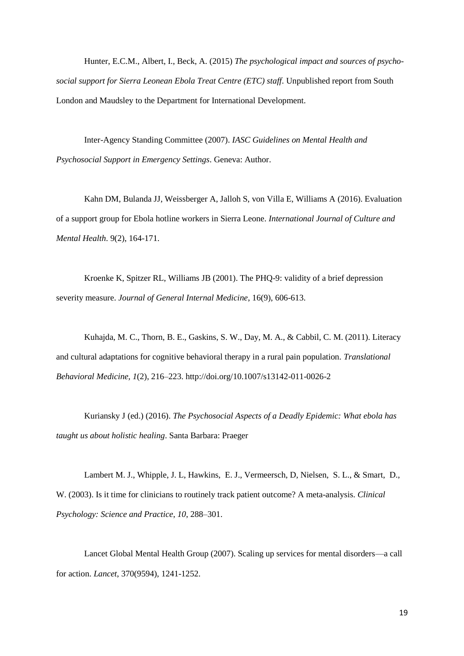Hunter, E.C.M., Albert, I., Beck, A. (2015) *The psychological impact and sources of psychosocial support for Sierra Leonean Ebola Treat Centre (ETC) staff*. Unpublished report from South London and Maudsley to the Department for International Development.

Inter-Agency Standing Committee (2007). *IASC Guidelines on Mental Health and Psychosocial Support in Emergency Settings*. Geneva: Author.

Kahn DM, Bulanda JJ, Weissberger A, Jalloh S, von Villa E, Williams A (2016). Evaluation of a support group for Ebola hotline workers in Sierra Leone. *International Journal of Culture and Mental Health*. 9(2), 164-171.

Kroenke K, Spitzer RL, Williams JB (2001). The PHQ-9: validity of a brief depression severity measure. *Journal of General Internal Medicine*, 16(9), 606-613.

Kuhajda, M. C., Thorn, B. E., Gaskins, S. W., Day, M. A., & Cabbil, C. M. (2011). Literacy and cultural adaptations for cognitive behavioral therapy in a rural pain population. *Translational Behavioral Medicine, 1*(2), 216–223. http://doi.org/10.1007/s13142-011-0026-2

Kuriansky J (ed.) (2016). *The Psychosocial Aspects of a Deadly Epidemic: What ebola has taught us about holistic healing*. Santa Barbara: Praeger

Lambert M. J., Whipple, J. L, Hawkins, E. J., Vermeersch, D, Nielsen, S. L., & Smart, D., W. (2003). Is it time for clinicians to routinely track patient outcome? A meta-analysis. *Clinical Psychology: Science and Practice*, *10*, 288–301.

Lancet Global Mental Health Group (2007). Scaling up services for mental disorders—a call for action. *Lancet*, 370(9594), 1241-1252.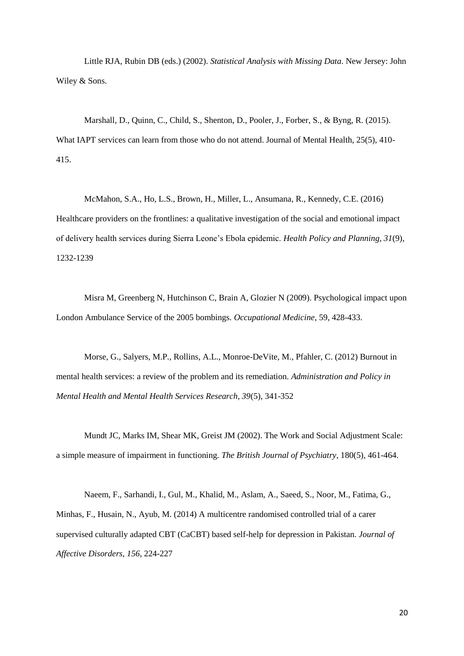Little RJA, Rubin DB (eds.) (2002). *Statistical Analysis with Missing Data*. New Jersey: John Wiley & Sons.

Marshall, D., Quinn, C., Child, S., Shenton, D., Pooler, J., Forber, S., & Byng, R. (2015). What IAPT services can learn from those who do not attend. Journal of Mental Health, 25(5), 410- 415.

McMahon, S.A., Ho, L.S., Brown, H., Miller, L., Ansumana, R., Kennedy, C.E. (2016) Healthcare providers on the frontlines: a qualitative investigation of the social and emotional impact of delivery health services during Sierra Leone's Ebola epidemic. *Health Policy and Planning, 31*(9), 1232-1239

Misra M, Greenberg N, Hutchinson C, Brain A, Glozier N (2009). Psychological impact upon London Ambulance Service of the 2005 bombings. *Occupational Medicine*, 59, 428-433.

Morse, G., Salyers, M.P., Rollins, A.L., Monroe-DeVite, M., Pfahler, C. (2012) Burnout in mental health services: a review of the problem and its remediation. *Administration and Policy in Mental Health and Mental Health Services Research, 39*(5), 341-352

Mundt JC, Marks IM, Shear MK, Greist JM (2002). The Work and Social Adjustment Scale: a simple measure of impairment in functioning. *The British Journal of Psychiatry*, 180(5), 461-464.

Naeem, F., Sarhandi, I., Gul, M., Khalid, M., Aslam, A., Saeed, S., Noor, M., Fatima, G., Minhas, F., Husain, N., Ayub, M. (2014) A multicentre randomised controlled trial of a carer supervised culturally adapted CBT (CaCBT) based self-help for depression in Pakistan. *Journal of Affective Disorders, 156*, 224-227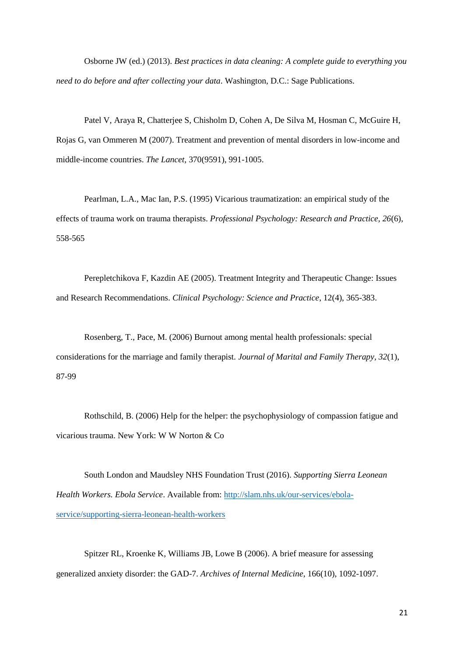Osborne JW (ed.) (2013). *Best practices in data cleaning: A complete guide to everything you need to do before and after collecting your data*. Washington, D.C.: Sage Publications.

Patel V, Araya R, Chatterjee S, Chisholm D, Cohen A, De Silva M, Hosman C, McGuire H, Rojas G, van Ommeren M (2007). Treatment and prevention of mental disorders in low-income and middle-income countries. *The Lancet*, 370(9591), 991-1005.

Pearlman, L.A., Mac Ian, P.S. (1995) Vicarious traumatization: an empirical study of the effects of trauma work on trauma therapists. *Professional Psychology: Research and Practice, 26*(6), 558-565

Perepletchikova F, Kazdin AE (2005). Treatment Integrity and Therapeutic Change: Issues and Research Recommendations. *Clinical Psychology: Science and Practice*, 12(4), 365-383.

Rosenberg, T., Pace, M. (2006) Burnout among mental health professionals: special considerations for the marriage and family therapist. *Journal of Marital and Family Therapy, 32*(1), 87-99

Rothschild, B. (2006) Help for the helper: the psychophysiology of compassion fatigue and vicarious trauma. New York: W W Norton & Co

South London and Maudsley NHS Foundation Trust (2016). *Supporting Sierra Leonean Health Workers. Ebola Service*. Available from: [http://slam.nhs.uk/our-services/ebola](http://slam.nhs.uk/our-services/ebola-service/supporting-sierra-leonean-health-workers)[service/supporting-sierra-leonean-health-workers](http://slam.nhs.uk/our-services/ebola-service/supporting-sierra-leonean-health-workers)

Spitzer RL, Kroenke K, Williams JB, Lowe B (2006). A brief measure for assessing generalized anxiety disorder: the GAD-7. *Archives of Internal Medicine*, 166(10), 1092-1097.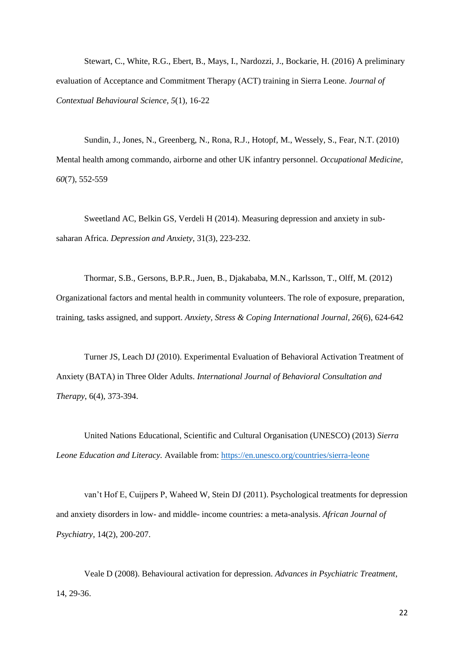Stewart, C., White, R.G., Ebert, B., Mays, I., Nardozzi, J., Bockarie, H. (2016) A preliminary evaluation of Acceptance and Commitment Therapy (ACT) training in Sierra Leone. *Journal of Contextual Behavioural Science, 5*(1), 16-22

Sundin, J., Jones, N., Greenberg, N., Rona, R.J., Hotopf, M., Wessely, S., Fear, N.T. (2010) Mental health among commando, airborne and other UK infantry personnel. *Occupational Medicine, 60*(7), 552-559

Sweetland AC, Belkin GS, Verdeli H (2014). Measuring depression and anxiety in subsaharan Africa. *Depression and Anxiety*, 31(3), 223-232.

Thormar, S.B., Gersons, B.P.R., Juen, B., Djakababa, M.N., Karlsson, T., Olff, M. (2012) Organizational factors and mental health in community volunteers. The role of exposure, preparation, training, tasks assigned, and support. *Anxiety, Stress & Coping International Journal, 26*(6), 624-642

Turner JS, Leach DJ (2010). Experimental Evaluation of Behavioral Activation Treatment of Anxiety (BATA) in Three Older Adults. *International Journal of Behavioral Consultation and Therapy*, 6(4), 373-394.

United Nations Educational, Scientific and Cultural Organisation (UNESCO) (2013) *Sierra Leone Education and Literacy.* Available from:<https://en.unesco.org/countries/sierra-leone>

van't Hof E, Cuijpers P, Waheed W, Stein DJ (2011). Psychological treatments for depression and anxiety disorders in low- and middle- income countries: a meta-analysis. *African Journal of Psychiatry*, 14(2), 200-207.

Veale D (2008). Behavioural activation for depression. *Advances in Psychiatric Treatment*, 14, 29-36.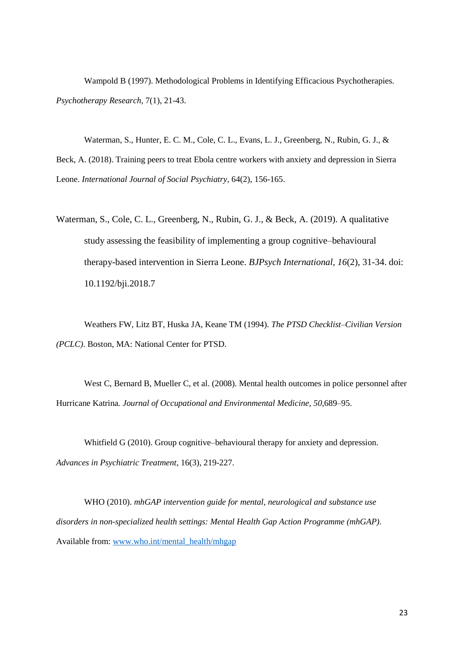Wampold B (1997). Methodological Problems in Identifying Efficacious Psychotherapies. *Psychotherapy Research,* 7(1), 21-43.

Waterman, S., Hunter, E. C. M., Cole, C. L., Evans, L. J., Greenberg, N., Rubin, G. J., & Beck, A. (2018). Training peers to treat Ebola centre workers with anxiety and depression in Sierra Leone. *International Journal of Social Psychiatry*, 64(2), 156-165.

Waterman, S., Cole, C. L., Greenberg, N., Rubin, G. J., & Beck, A. (2019). A qualitative study assessing the feasibility of implementing a group cognitive–behavioural therapy-based intervention in Sierra Leone. *BJPsych International, 16*(2), 31-34. doi: 10.1192/bji.2018.7

Weathers FW, Litz BT, Huska JA, Keane TM (1994). *The PTSD Checklist–Civilian Version (PCLC)*. Boston, MA: National Center for PTSD.

West C, Bernard B, Mueller C, et al. (2008). Mental health outcomes in police personnel after Hurricane Katrina*. Journal of Occupational and Environmental Medicine*, *50*,689–95.

Whitfield G (2010). Group cognitive–behavioural therapy for anxiety and depression. *Advances in Psychiatric Treatment*, 16(3), 219-227.

WHO (2010). *mhGAP intervention guide for mental, neurological and substance use disorders in non-specialized health settings: Mental Health Gap Action Programme (mhGAP).* Available from: [www.who.int/mental\\_health/mhgap](http://www.who.int/mental_health/mhgap)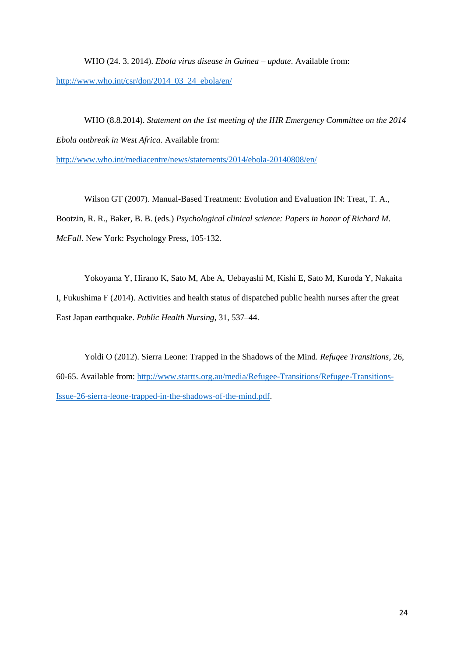WHO (24. 3. 2014). *Ebola virus disease in Guinea – update*. Available from: [http://www.who.int/csr/don/2014\\_03\\_24\\_ebola/en/](http://www.who.int/csr/don/2014_03_24_ebola/en/)

WHO (8.8.2014). *Statement on the 1st meeting of the IHR Emergency Committee on the 2014 Ebola outbreak in West Africa*. Available from:

<http://www.who.int/mediacentre/news/statements/2014/ebola-20140808/en/>

Wilson GT (2007). Manual-Based Treatment: Evolution and Evaluation IN: Treat, T. A., Bootzin, R. R., Baker, B. B. (eds.) *Psychological clinical science: Papers in honor of Richard M. McFall.* New York: Psychology Press, 105-132.

Yokoyama Y, Hirano K, Sato M, Abe A, Uebayashi M, Kishi E, Sato M, Kuroda Y, Nakaita I, Fukushima F (2014). Activities and health status of dispatched public health nurses after the great East Japan earthquake. *Public Health Nursing*, 31, 537–44.

Yoldi O (2012). Sierra Leone: Trapped in the Shadows of the Mind. *Refugee Transitions*, 26, 60-65. Available from: [http://www.startts.org.au/media/Refugee-Transitions/Refugee-Transitions-](http://www.startts.org.au/media/Refugee-Transitions/Refugee-Transitions-Issue-26-sierra-leone-trapped-in-the-shadows-of-the-mind.pdf)[Issue-26-sierra-leone-trapped-in-the-shadows-of-the-mind.pdf.](http://www.startts.org.au/media/Refugee-Transitions/Refugee-Transitions-Issue-26-sierra-leone-trapped-in-the-shadows-of-the-mind.pdf)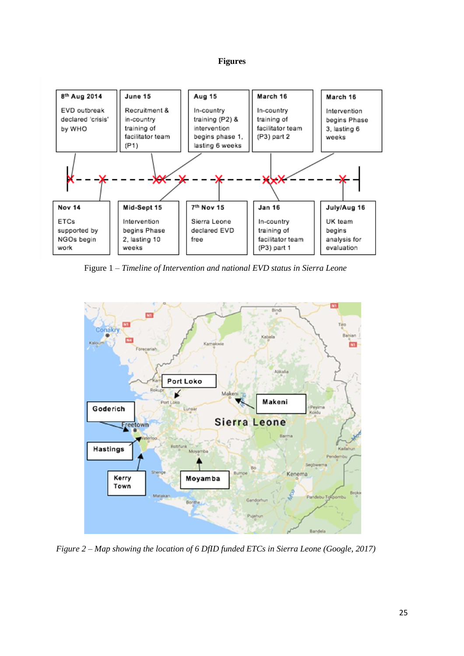# **Figures**



Figure 1 – *Timeline of Intervention and national EVD status in Sierra Leone*



*Figure 2 – Map showing the location of 6 DfID funded ETCs in Sierra Leone (Google, 2017)*